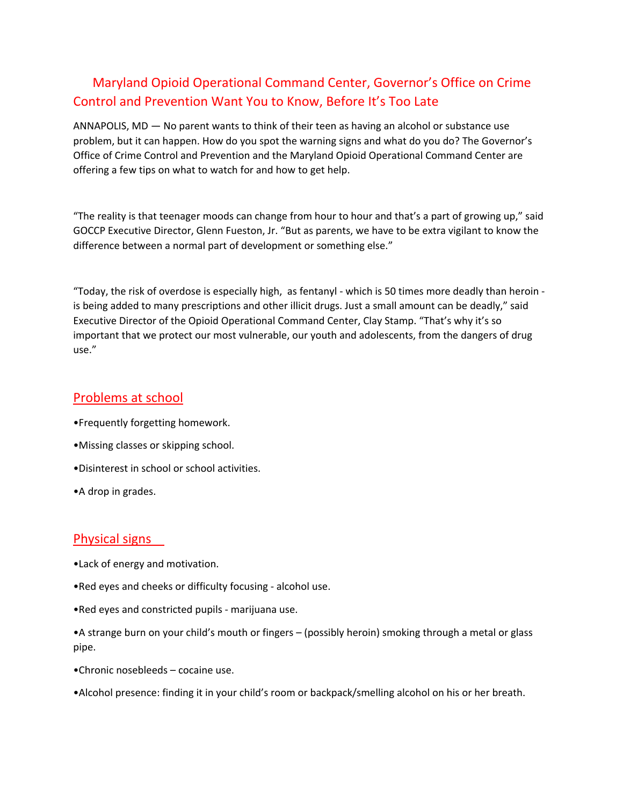# Maryland Opioid Operational Command Center, Governor's Office on Crime Control and Prevention Want You to Know, Before It's Too Late

ANNAPOLIS, MD — No parent wants to think of their teen as having an alcohol or substance use problem, but it can happen. How do you spot the warning signs and what do you do? The Governor's Office of Crime Control and Prevention and the Maryland Opioid Operational Command Center are offering a few tips on what to watch for and how to get help.

"The reality is that teenager moods can change from hour to hour and that's a part of growing up," said GOCCP Executive Director, Glenn Fueston, Jr. "But as parents, we have to be extra vigilant to know the difference between a normal part of development or something else."

"Today, the risk of overdose is especially high, as fentanyl - which is 50 times more deadly than heroin is being added to many prescriptions and other illicit drugs. Just a small amount can be deadly," said Executive Director of the Opioid Operational Command Center, Clay Stamp. "That's why it's so important that we protect our most vulnerable, our youth and adolescents, from the dangers of drug use."

#### Problems at school

- •Frequently forgetting homework.
- •Missing classes or skipping school.
- •Disinterest in school or school activities.
- •A drop in grades.

# Physical signs

- •Lack of energy and motivation.
- •Red eyes and cheeks or difficulty focusing alcohol use.
- •Red eyes and constricted pupils marijuana use.

•A strange burn on your child's mouth or fingers – (possibly heroin) smoking through a metal or glass pipe.

- •Chronic nosebleeds cocaine use.
- •Alcohol presence: finding it in your child's room or backpack/smelling alcohol on his or her breath.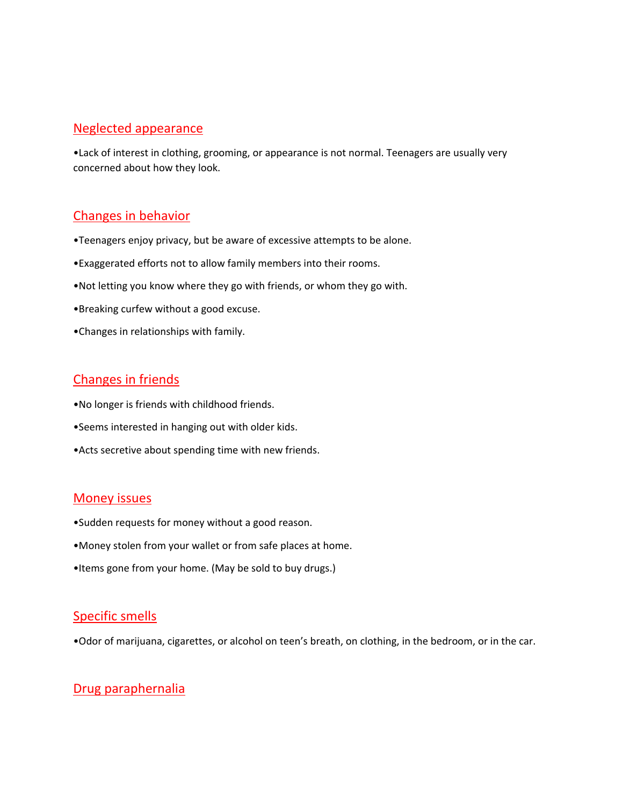#### Neglected appearance

•Lack of interest in clothing, grooming, or appearance is not normal. Teenagers are usually very concerned about how they look.

## Changes in behavior

- •Teenagers enjoy privacy, but be aware of excessive attempts to be alone.
- •Exaggerated efforts not to allow family members into their rooms.
- •Not letting you know where they go with friends, or whom they go with.
- •Breaking curfew without a good excuse.
- •Changes in relationships with family.

## Changes in friends

- •No longer is friends with childhood friends.
- •Seems interested in hanging out with older kids.
- •Acts secretive about spending time with new friends.

#### Money issues

- •Sudden requests for money without a good reason.
- •Money stolen from your wallet or from safe places at home.
- •Items gone from your home. (May be sold to buy drugs.)

## Specific smells

•Odor of marijuana, cigarettes, or alcohol on teen's breath, on clothing, in the bedroom, or in the car.

# Drug paraphernalia